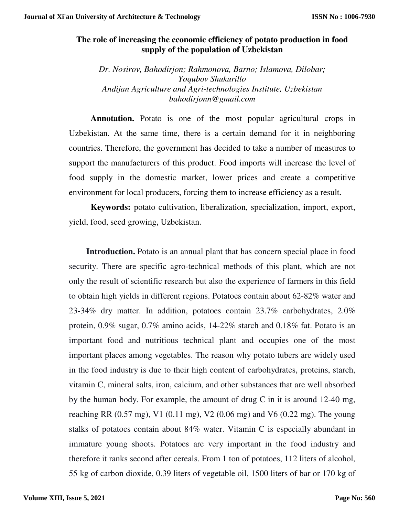## **The role of increasing the economic efficiency of potato production in food supply of the population of Uzbekistan**

*Dr. Nosirov, Bahodirjon; Rahmonova, Barno; Islamova, Dilobar; Yoqubov Shukurillo Andijan Agriculture and Agri-technologies Institute, Uzbekistan bahodirjonn@gmail.com* 

**Annotation.** Potato is one of the most popular agricultural crops in Uzbekistan. At the same time, there is a certain demand for it in neighboring countries. Therefore, the government has decided to take a number of measures to support the manufacturers of this product. Food imports will increase the level of food supply in the domestic market, lower prices and create a competitive environment for local producers, forcing them to increase efficiency as a result.

**Keywords:** potato cultivation, liberalization, specialization, import, export, yield, food, seed growing, Uzbekistan.

**Introduction.** Potato is an annual plant that has concern special place in food security. There are specific agro-technical methods of this plant, which are not only the result of scientific research but also the experience of farmers in this field to obtain high yields in different regions. Potatoes contain about 62-82% water and 23-34% dry matter. In addition, potatoes contain 23.7% carbohydrates, 2.0% protein, 0.9% sugar, 0.7% amino acids, 14-22% starch and 0.18% fat. Potato is an important food and nutritious technical plant and occupies one of the most important places among vegetables. The reason why potato tubers are widely used in the food industry is due to their high content of carbohydrates, proteins, starch, vitamin C, mineral salts, iron, calcium, and other substances that are well absorbed by the human body. For example, the amount of drug C in it is around 12-40 mg, reaching RR (0.57 mg), V1 (0.11 mg), V2 (0.06 mg) and V6 (0.22 mg). The young stalks of potatoes contain about 84% water. Vitamin C is especially abundant in immature young shoots. Potatoes are very important in the food industry and therefore it ranks second after cereals. From 1 ton of potatoes, 112 liters of alcohol, 55 kg of carbon dioxide, 0.39 liters of vegetable oil, 1500 liters of bar or 170 kg of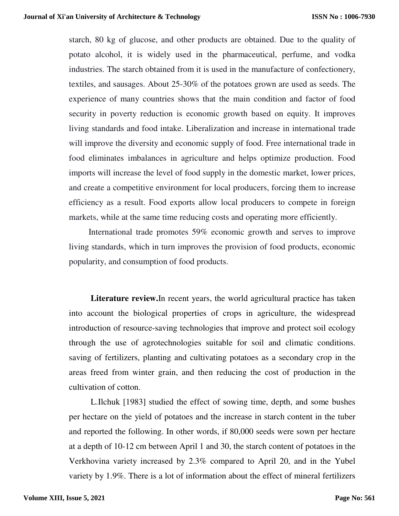starch, 80 kg of glucose, and other products are obtained. Due to the quality of potato alcohol, it is widely used in the pharmaceutical, perfume, and vodka industries. The starch obtained from it is used in the manufacture of confectionery, textiles, and sausages. About 25-30% of the potatoes grown are used as seeds. The experience of many countries shows that the main condition and factor of food security in poverty reduction is economic growth based on equity. It improves living standards and food intake. Liberalization and increase in international trade will improve the diversity and economic supply of food. Free international trade in food eliminates imbalances in agriculture and helps optimize production. Food imports will increase the level of food supply in the domestic market, lower prices, and create a competitive environment for local producers, forcing them to increase efficiency as a result. Food exports allow local producers to compete in foreign markets, while at the same time reducing costs and operating more efficiently.

 International trade promotes 59% economic growth and serves to improve living standards, which in turn improves the provision of food products, economic popularity, and consumption of food products.

**Literature review.**In recent years, the world agricultural practice has taken into account the biological properties of crops in agriculture, the widespread introduction of resource-saving technologies that improve and protect soil ecology through the use of agrotechnologies suitable for soil and climatic conditions. saving of fertilizers, planting and cultivating potatoes as a secondary crop in the areas freed from winter grain, and then reducing the cost of production in the cultivation of cotton.

L.Ilchuk [1983] studied the effect of sowing time, depth, and some bushes per hectare on the yield of potatoes and the increase in starch content in the tuber and reported the following. In other words, if 80,000 seeds were sown per hectare at a depth of 10-12 cm between April 1 and 30, the starch content of potatoes in the Verkhovina variety increased by 2.3% compared to April 20, and in the Yubel variety by 1.9%. There is a lot of information about the effect of mineral fertilizers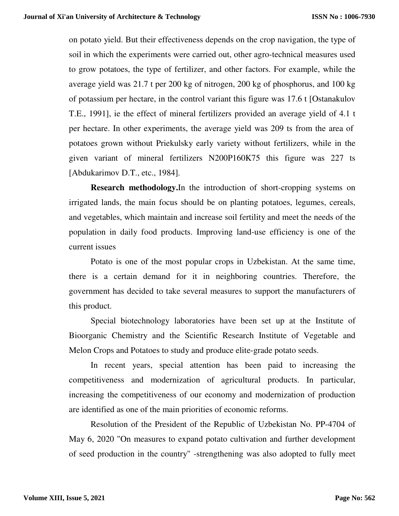on potato yield. But their effectiveness depends on the crop navigation, the type of soil in which the experiments were carried out, other agro-technical measures used to grow potatoes, the type of fertilizer, and other factors. For example, while the average yield was 21.7 t per 200 kg of nitrogen, 200 kg of phosphorus, and 100 kg of potassium per hectare, in the control variant this figure was 17.6 t [Ostanakulov T.E., 1991], ie the effect of mineral fertilizers provided an average yield of 4.1 t per hectare. In other experiments, the average yield was 209 ts from the area of potatoes grown without Priekulsky early variety without fertilizers, while in the given variant of mineral fertilizers N200P160K75 this figure was 227 ts [Abdukarimov D.T., etc., 1984].

**Research methodology.**In the introduction of short-cropping systems on irrigated lands, the main focus should be on planting potatoes, legumes, cereals, and vegetables, which maintain and increase soil fertility and meet the needs of the population in daily food products. Improving land-use efficiency is one of the current issues

Potato is one of the most popular crops in Uzbekistan. At the same time, there is a certain demand for it in neighboring countries. Therefore, the government has decided to take several measures to support the manufacturers of this product.

Special biotechnology laboratories have been set up at the Institute of Bioorganic Chemistry and the Scientific Research Institute of Vegetable and Melon Crops and Potatoes to study and produce elite-grade potato seeds.

In recent years, special attention has been paid to increasing the competitiveness and modernization of agricultural products. In particular, increasing the competitiveness of our economy and modernization of production are identified as one of the main priorities of economic reforms.

Resolution of the President of the Republic of Uzbekistan No. PP-4704 of May 6, 2020 "On measures to expand potato cultivation and further development of seed production in the country" -strengthening was also adopted to fully meet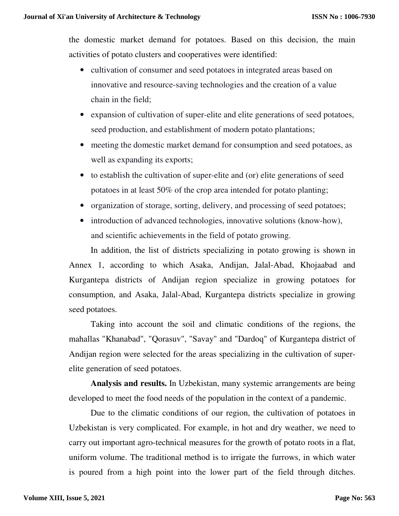the domestic market demand for potatoes. Based on this decision, the main activities of potato clusters and cooperatives were identified:

- cultivation of consumer and seed potatoes in integrated areas based on innovative and resource-saving technologies and the creation of a value chain in the field;
- expansion of cultivation of super-elite and elite generations of seed potatoes, seed production, and establishment of modern potato plantations;
- meeting the domestic market demand for consumption and seed potatoes, as well as expanding its exports;
- to establish the cultivation of super-elite and (or) elite generations of seed potatoes in at least 50% of the crop area intended for potato planting;
- organization of storage, sorting, delivery, and processing of seed potatoes;
- introduction of advanced technologies, innovative solutions (know-how), and scientific achievements in the field of potato growing.

In addition, the list of districts specializing in potato growing is shown in Annex 1, according to which Asaka, Andijan, Jalal-Abad, Khojaabad and Kurgantepa districts of Andijan region specialize in growing potatoes for consumption, and Asaka, Jalal-Abad, Kurgantepa districts specialize in growing seed potatoes.

Taking into account the soil and climatic conditions of the regions, the mahallas "Khanabad", "Qorasuv", "Savay" and "Dardoq" of Kurgantepa district of Andijan region were selected for the areas specializing in the cultivation of superelite generation of seed potatoes.

**Analysis and results.** In Uzbekistan, many systemic arrangements are being developed to meet the food needs of the population in the context of a pandemic.

Due to the climatic conditions of our region, the cultivation of potatoes in Uzbekistan is very complicated. For example, in hot and dry weather, we need to carry out important agro-technical measures for the growth of potato roots in a flat, uniform volume. The traditional method is to irrigate the furrows, in which water is poured from a high point into the lower part of the field through ditches.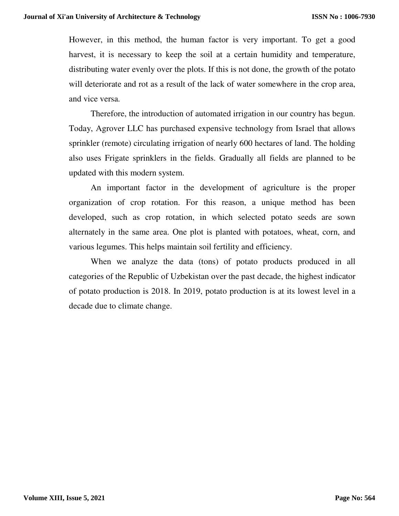However, in this method, the human factor is very important. To get a good harvest, it is necessary to keep the soil at a certain humidity and temperature, distributing water evenly over the plots. If this is not done, the growth of the potato will deteriorate and rot as a result of the lack of water somewhere in the crop area, and vice versa.

Therefore, the introduction of automated irrigation in our country has begun. Today, Agrover LLC has purchased expensive technology from Israel that allows sprinkler (remote) circulating irrigation of nearly 600 hectares of land. The holding also uses Frigate sprinklers in the fields. Gradually all fields are planned to be updated with this modern system.

An important factor in the development of agriculture is the proper organization of crop rotation. For this reason, a unique method has been developed, such as crop rotation, in which selected potato seeds are sown alternately in the same area. One plot is planted with potatoes, wheat, corn, and various legumes. This helps maintain soil fertility and efficiency.

When we analyze the data (tons) of potato products produced in all categories of the Republic of Uzbekistan over the past decade, the highest indicator of potato production is 2018. In 2019, potato production is at its lowest level in a decade due to climate change.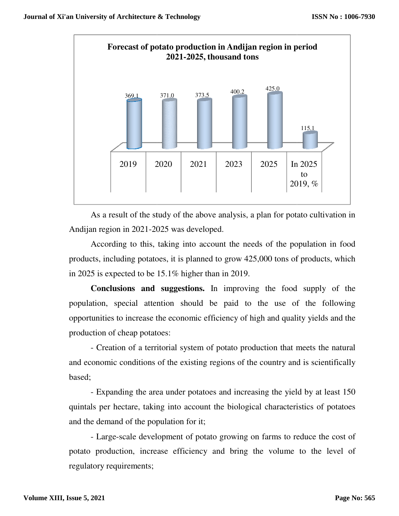

As a result of the study of the above analysis, a plan for potato cultivation in Andijan region in 2021-2025 was developed.

According to this, taking into account the needs of the population in food products, including potatoes, it is planned to grow 425,000 tons of products, which As a result of the study of the above analysis, a<br>
Andijan region in 2021-2025 was developed.<br>
According to this, taking into account the nee<br>
products, including potatoes, it is planned to grow 42<br>
in 2025 is expected to

**Conclusions and suggestions.** In improving the food supply of the population, special attention should be paid to the use of the following opportunities to increase the economic efficiency of high and quality yields and the production of cheap potatoes: to a result of the study of the above analysis, a plan for potato region in 2021-2025 was developed.<br>
ccording to this, taking into account the needs of the popul<br>
s, including potatoes, it is planned to grow 425,000 tons

- Creation of a territorial system of potato production that meets the natural and economic conditions of the existing regions of the country and is scientifically based; oduction of cheap potatoes:<br>
- Creation of a territorial system of potato production that meets the natural<br>
deconomic conditions of the existing regions of the country and is scientifically<br>
sed;<br>
- Expanding the area und

- Expanding the area under potatoes and increasing the yield by at least 150 quintals per hectare, taking into account the biological characteristics of potatoes and the demand of the population for it;

- Large-scale development of potato growing on farms to reduce the cost of potato production, increase efficiency and bring the volume to the level of regulatory requirements;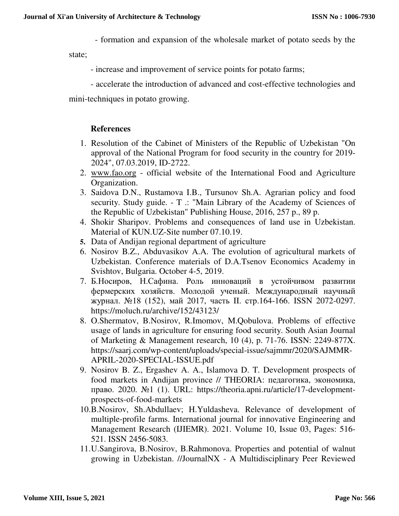- formation and expansion of the wholesale market of potato seeds by the

state;

- increase and improvement of service points for potato farms;

- accelerate the introduction of advanced and cost-effective technologies and

mini-techniques in potato growing.

## **References**

- 1. Resolution of the Cabinet of Ministers of the Republic of Uzbekistan "On approval of the National Program for food security in the country for 2019- 2024", 07.03.2019, ID-2722.
- 2. www.fao.org official website of the International Food and Agriculture Organization.
- 3. Saidova D.N., Rustamova I.B., Tursunov Sh.A. Agrarian policy and food security. Study guide. - T .: "Main Library of the Academy of Sciences of the Republic of Uzbekistan" Publishing House, 2016, 257 p., 89 p.
- 4. Shokir Sharipov. Problems and consequences of land use in Uzbekistan. Material of KUN.UZ-Site number 07.10.19.
- **5.** Data of Andijan regional department of agriculture
- 6. Nosirov B.Z., Abduvasikov A.A. The evolution of agricultural markets of Uzbekistan. Conference materials of D.A.Tsenov Economics Academy in Svishtov, Bulgaria. October 4-5, 2019.
- 7. Б.Носиров, Н.Сафина. Роль инноваций в устойчивом развитии фермерских хозяйств. Молодой ученый. Международный научный журнал. №18 (152), май 2017, часть II. стр.164-166. ISSN 2072-0297. https://moluch.ru/archive/152/43123/
- 8. O.Shermatov, B.Nosirov, R.Imomov, M.Qobulova. Problems of effective usage of lands in agriculture for ensuring food security. South Asian Journal of Marketing & Management research, 10 (4), p. 71-76. ISSN: 2249-877X. https://saarj.com/wp-content/uploads/special-issue/sajmmr/2020/SAJMMR-APRIL-2020-SPECIAL-ISSUE.pdf
- 9. Nosirov B. Z., Ergashev A. A., Islamova D. T. Development prospects of food markets in Andijan province // THEORIA: педагогика, экономика, право. 2020. №1 (1). URL: https://theoria.apni.ru/article/17-developmentprospects-of-food-markets
- 10.B.Nosirov, Sh.Abdullaev; H.Yuldasheva. Relevance of development of multiple-profile farms. International journal for innovative Engineering and Management Research (IJIEMR). 2021. Volume 10, Issue 03, Pages: 516- 521. ISSN 2456-5083.
- 11.U.Sangirova, B.Nosirov, B.Rahmonova. Properties and potential of walnut growing in Uzbekistan. //JournalNX - A Multidisciplinary Peer Reviewed